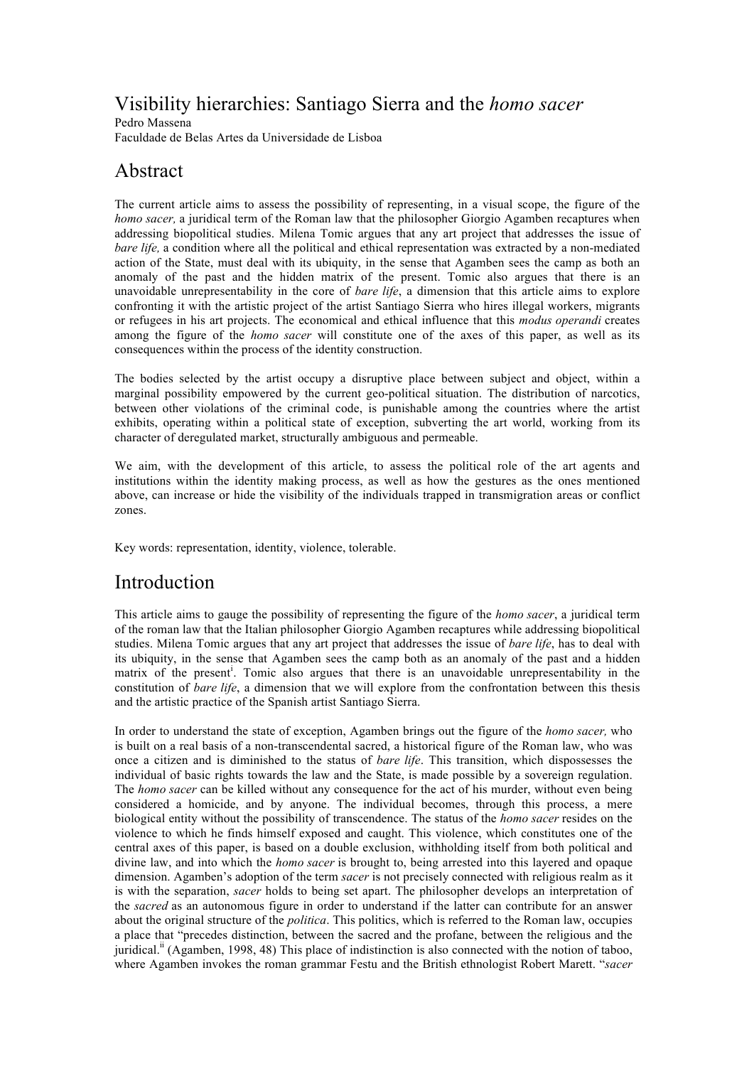# Visibility hierarchies: Santiago Sierra and the *homo sacer*

Pedro Massena Faculdade de Belas Artes da Universidade de Lisboa

# Abstract

The current article aims to assess the possibility of representing, in a visual scope, the figure of the *homo sacer*, a juridical term of the Roman law that the philosopher Giorgio Agamben recaptures when addressing biopolitical studies. Milena Tomic argues that any art project that addresses the issue of *bare life*, a condition where all the political and ethical representation was extracted by a non-mediated action of the State, must deal with its ubiquity, in the sense that Agamben sees the camp as both an anomaly of the past and the hidden matrix of the present. Tomic also argues that there is an unavoidable unrepresentability in the core of *bare life*, a dimension that this article aims to explore confronting it with the artistic project of the artist Santiago Sierra who hires illegal workers, migrants or refugees in his art projects. The economical and ethical influence that this *modus operandi* creates among the figure of the *homo sacer* will constitute one of the axes of this paper, as well as its consequences within the process of the identity construction.

The bodies selected by the artist occupy a disruptive place between subject and object, within a marginal possibility empowered by the current geo-political situation. The distribution of narcotics, between other violations of the criminal code, is punishable among the countries where the artist exhibits, operating within a political state of exception, subverting the art world, working from its character of deregulated market, structurally ambiguous and permeable.

We aim, with the development of this article, to assess the political role of the art agents and institutions within the identity making process, as well as how the gestures as the ones mentioned above, can increase or hide the visibility of the individuals trapped in transmigration areas or conflict zones.

Key words: representation, identity, violence, tolerable.

## Introduction

This article aims to gauge the possibility of representing the figure of the *homo sacer*, a juridical term of the roman law that the Italian philosopher Giorgio Agamben recaptures while addressing biopolitical studies. Milena Tomic argues that any art project that addresses the issue of *bare life*, has to deal with its ubiquity, in the sense that Agamben sees the camp both as an anomaly of the past and a hidden matrix of the present<sup>i</sup>. Tomic also argues that there is an unavoidable unrepresentability in the constitution of *bare life*, a dimension that we will explore from the confrontation between this thesis and the artistic practice of the Spanish artist Santiago Sierra.

In order to understand the state of exception, Agamben brings out the figure of the *homo sacer,* who is built on a real basis of a non-transcendental sacred, a historical figure of the Roman law, who was once a citizen and is diminished to the status of *bare life*. This transition, which dispossesses the individual of basic rights towards the law and the State, is made possible by a sovereign regulation. The *homo sacer* can be killed without any consequence for the act of his murder, without even being considered a homicide, and by anyone. The individual becomes, through this process, a mere biological entity without the possibility of transcendence. The status of the *homo sacer* resides on the violence to which he finds himself exposed and caught. This violence, which constitutes one of the central axes of this paper, is based on a double exclusion, withholding itself from both political and divine law, and into which the *homo sacer* is brought to, being arrested into this layered and opaque dimension. Agamben's adoption of the term *sacer* is not precisely connected with religious realm as it is with the separation, *sacer* holds to being set apart. The philosopher develops an interpretation of the *sacred* as an autonomous figure in order to understand if the latter can contribute for an answer about the original structure of the *politica*. This politics, which is referred to the Roman law, occupies a place that "precedes distinction, between the sacred and the profane, between the religious and the juridical.ii (Agamben, 1998, 48) This place of indistinction is also connected with the notion of taboo, where Agamben invokes the roman grammar Festu and the British ethnologist Robert Marett. "*sacer*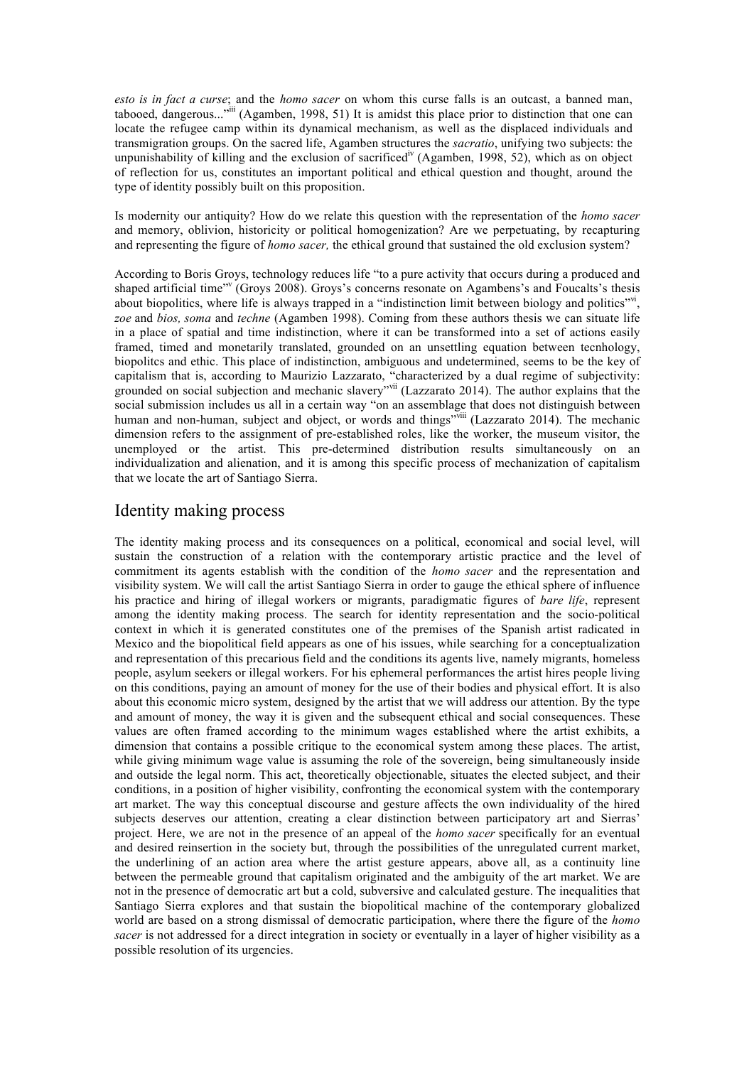*esto is in fact a curse*; and the *homo sacer* on whom this curse falls is an outcast, a banned man, tabooed, dangerous..."<sup>iii</sup> (Agamben, 1998, 51) It is amidst this place prior to distinction that one can locate the refugee camp within its dynamical mechanism, as well as the displaced individuals and transmigration groups. On the sacred life, Agamben structures the *sacratio*, unifying two subjects: the unpunishability of killing and the exclusion of sacrificed<sup>iv</sup> (Agamben, 1998, 52), which as on object of reflection for us, constitutes an important political and ethical question and thought, around the type of identity possibly built on this proposition.

Is modernity our antiquity? How do we relate this question with the representation of the *homo sacer*  and memory, oblivion, historicity or political homogenization? Are we perpetuating, by recapturing and representing the figure of *homo sacer,* the ethical ground that sustained the old exclusion system?

According to Boris Groys, technology reduces life "to a pure activity that occurs during a produced and shaped artificial time"<sup>v</sup> (Groys 2008). Groys's concerns resonate on Agambens's and Foucalts's thesis about biopolitics, where life is always trapped in a "indistinction limit between biology and politics"vi, *zoe* and *bios, soma* and *techne* (Agamben 1998). Coming from these authors thesis we can situate life in a place of spatial and time indistinction, where it can be transformed into a set of actions easily framed, timed and monetarily translated, grounded on an unsettling equation between tecnhology, biopolitcs and ethic. This place of indistinction, ambiguous and undetermined, seems to be the key of capitalism that is, according to Maurizio Lazzarato, "characterized by a dual regime of subjectivity: grounded on social subjection and mechanic slavery"<sup>vii</sup> (Lazzarato 2014). The author explains that the social submission includes us all in a certain way "on an assemblage that does not distinguish between human and non-human, subject and object, or words and things<sup>"viii</sup> (Lazzarato 2014). The mechanic dimension refers to the assignment of pre-established roles, like the worker, the museum visitor, the unemployed or the artist. This pre-determined distribution results simultaneously on an individualization and alienation, and it is among this specific process of mechanization of capitalism that we locate the art of Santiago Sierra.

#### Identity making process

The identity making process and its consequences on a political, economical and social level, will sustain the construction of a relation with the contemporary artistic practice and the level of commitment its agents establish with the condition of the *homo sacer* and the representation and visibility system. We will call the artist Santiago Sierra in order to gauge the ethical sphere of influence his practice and hiring of illegal workers or migrants, paradigmatic figures of *bare life*, represent among the identity making process. The search for identity representation and the socio-political context in which it is generated constitutes one of the premises of the Spanish artist radicated in Mexico and the biopolitical field appears as one of his issues, while searching for a conceptualization and representation of this precarious field and the conditions its agents live, namely migrants, homeless people, asylum seekers or illegal workers. For his ephemeral performances the artist hires people living on this conditions, paying an amount of money for the use of their bodies and physical effort. It is also about this economic micro system, designed by the artist that we will address our attention. By the type and amount of money, the way it is given and the subsequent ethical and social consequences. These values are often framed according to the minimum wages established where the artist exhibits, a dimension that contains a possible critique to the economical system among these places. The artist, while giving minimum wage value is assuming the role of the sovereign, being simultaneously inside and outside the legal norm. This act, theoretically objectionable, situates the elected subject, and their conditions, in a position of higher visibility, confronting the economical system with the contemporary art market. The way this conceptual discourse and gesture affects the own individuality of the hired subjects deserves our attention, creating a clear distinction between participatory art and Sierras' project. Here, we are not in the presence of an appeal of the *homo sacer* specifically for an eventual and desired reinsertion in the society but, through the possibilities of the unregulated current market, the underlining of an action area where the artist gesture appears, above all, as a continuity line between the permeable ground that capitalism originated and the ambiguity of the art market. We are not in the presence of democratic art but a cold, subversive and calculated gesture. The inequalities that Santiago Sierra explores and that sustain the biopolitical machine of the contemporary globalized world are based on a strong dismissal of democratic participation, where there the figure of the *homo sacer* is not addressed for a direct integration in society or eventually in a layer of higher visibility as a possible resolution of its urgencies.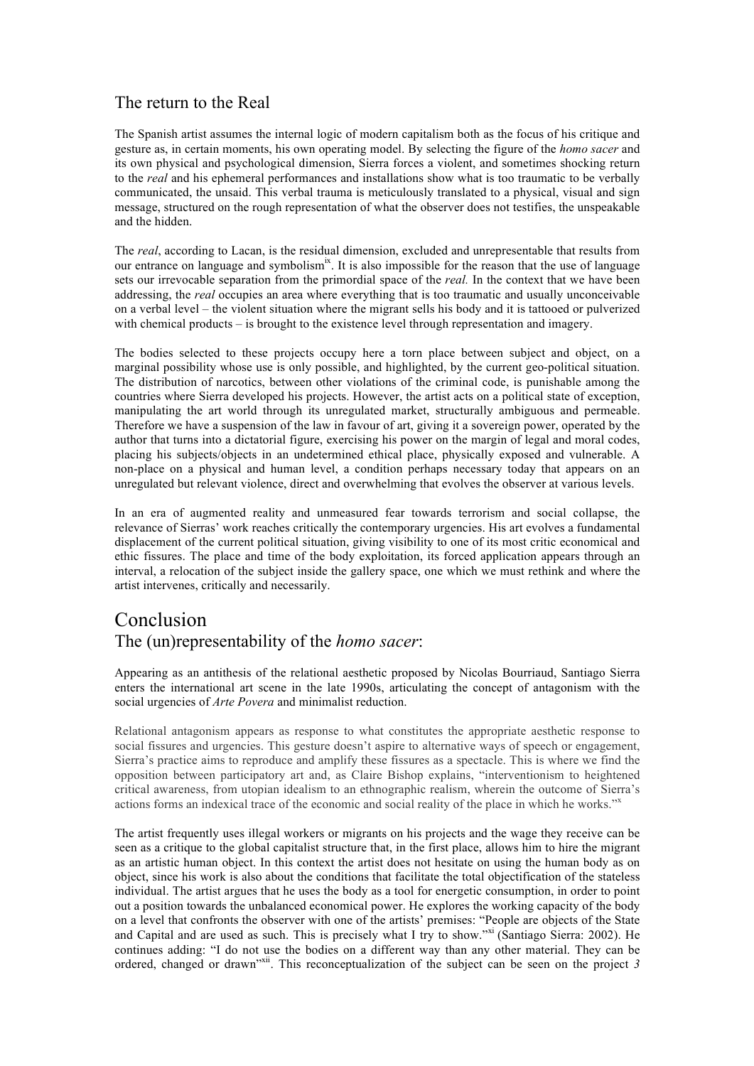### The return to the Real

The Spanish artist assumes the internal logic of modern capitalism both as the focus of his critique and gesture as, in certain moments, his own operating model. By selecting the figure of the *homo sacer* and its own physical and psychological dimension, Sierra forces a violent, and sometimes shocking return to the *real* and his ephemeral performances and installations show what is too traumatic to be verbally communicated, the unsaid. This verbal trauma is meticulously translated to a physical, visual and sign message, structured on the rough representation of what the observer does not testifies, the unspeakable and the hidden.

The *real*, according to Lacan, is the residual dimension, excluded and unrepresentable that results from our entrance on language and symbolism<sup>ix</sup>. It is also impossible for the reason that the use of language sets our irrevocable separation from the primordial space of the *real.* In the context that we have been addressing, the *real* occupies an area where everything that is too traumatic and usually unconceivable on a verbal level – the violent situation where the migrant sells his body and it is tattooed or pulverized with chemical products – is brought to the existence level through representation and imagery.

The bodies selected to these projects occupy here a torn place between subject and object, on a marginal possibility whose use is only possible, and highlighted, by the current geo-political situation. The distribution of narcotics, between other violations of the criminal code, is punishable among the countries where Sierra developed his projects. However, the artist acts on a political state of exception, manipulating the art world through its unregulated market, structurally ambiguous and permeable. Therefore we have a suspension of the law in favour of art, giving it a sovereign power, operated by the author that turns into a dictatorial figure, exercising his power on the margin of legal and moral codes, placing his subjects/objects in an undetermined ethical place, physically exposed and vulnerable. A non-place on a physical and human level, a condition perhaps necessary today that appears on an unregulated but relevant violence, direct and overwhelming that evolves the observer at various levels.

In an era of augmented reality and unmeasured fear towards terrorism and social collapse, the relevance of Sierras' work reaches critically the contemporary urgencies. His art evolves a fundamental displacement of the current political situation, giving visibility to one of its most critic economical and ethic fissures. The place and time of the body exploitation, its forced application appears through an interval, a relocation of the subject inside the gallery space, one which we must rethink and where the artist intervenes, critically and necessarily.

## Conclusion The (un)representability of the *homo sacer*:

Appearing as an antithesis of the relational aesthetic proposed by Nicolas Bourriaud, Santiago Sierra enters the international art scene in the late 1990s, articulating the concept of antagonism with the social urgencies of *Arte Povera* and minimalist reduction.

Relational antagonism appears as response to what constitutes the appropriate aesthetic response to social fissures and urgencies. This gesture doesn't aspire to alternative ways of speech or engagement, Sierra's practice aims to reproduce and amplify these fissures as a spectacle. This is where we find the opposition between participatory art and, as Claire Bishop explains, "interventionism to heightened critical awareness, from utopian idealism to an ethnographic realism, wherein the outcome of Sierra's actions forms an indexical trace of the economic and social reality of the place in which he works."

The artist frequently uses illegal workers or migrants on his projects and the wage they receive can be seen as a critique to the global capitalist structure that, in the first place, allows him to hire the migrant as an artistic human object. In this context the artist does not hesitate on using the human body as on object, since his work is also about the conditions that facilitate the total objectification of the stateless individual. The artist argues that he uses the body as a tool for energetic consumption, in order to point out a position towards the unbalanced economical power. He explores the working capacity of the body on a level that confronts the observer with one of the artists' premises: "People are objects of the State and Capital and are used as such. This is precisely what I try to show."<sup>xi</sup> (Santiago Sierra: 2002). He continues adding: "I do not use the bodies on a different way than any other material. They can be ordered, changed or drawn<sup>"xii</sup>. This reconceptualization of the subject can be seen on the project 3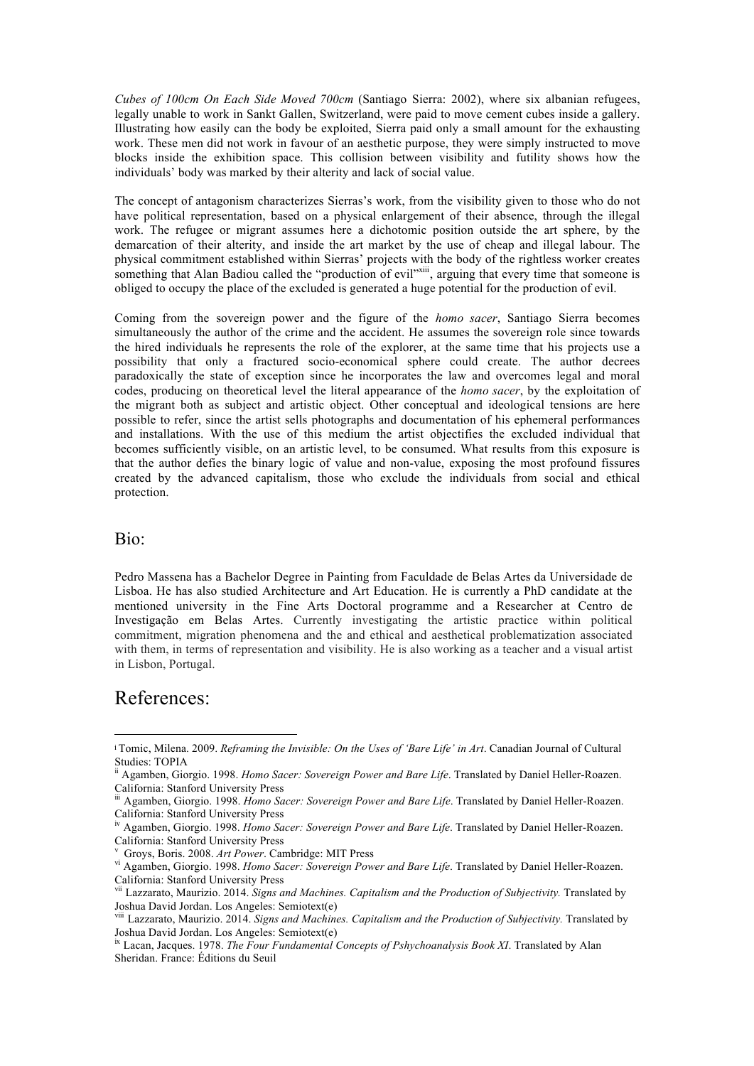*Cubes of 100cm On Each Side Moved 700cm* (Santiago Sierra: 2002), where six albanian refugees, legally unable to work in Sankt Gallen, Switzerland, were paid to move cement cubes inside a gallery. Illustrating how easily can the body be exploited, Sierra paid only a small amount for the exhausting work. These men did not work in favour of an aesthetic purpose, they were simply instructed to move blocks inside the exhibition space. This collision between visibility and futility shows how the individuals' body was marked by their alterity and lack of social value.

The concept of antagonism characterizes Sierras's work, from the visibility given to those who do not have political representation, based on a physical enlargement of their absence, through the illegal work. The refugee or migrant assumes here a dichotomic position outside the art sphere, by the demarcation of their alterity, and inside the art market by the use of cheap and illegal labour. The physical commitment established within Sierras' projects with the body of the rightless worker creates something that Alan Badiou called the "production of evil"<sup>xiii</sup>, arguing that every time that someone is obliged to occupy the place of the excluded is generated a huge potential for the production of evil.

Coming from the sovereign power and the figure of the *homo sacer*, Santiago Sierra becomes simultaneously the author of the crime and the accident. He assumes the sovereign role since towards the hired individuals he represents the role of the explorer, at the same time that his projects use a possibility that only a fractured socio-economical sphere could create. The author decrees paradoxically the state of exception since he incorporates the law and overcomes legal and moral codes, producing on theoretical level the literal appearance of the *homo sacer*, by the exploitation of the migrant both as subject and artistic object. Other conceptual and ideological tensions are here possible to refer, since the artist sells photographs and documentation of his ephemeral performances and installations. With the use of this medium the artist objectifies the excluded individual that becomes sufficiently visible, on an artistic level, to be consumed. What results from this exposure is that the author defies the binary logic of value and non-value, exposing the most profound fissures created by the advanced capitalism, those who exclude the individuals from social and ethical protection.

#### Bio:

Pedro Massena has a Bachelor Degree in Painting from Faculdade de Belas Artes da Universidade de Lisboa. He has also studied Architecture and Art Education. He is currently a PhD candidate at the mentioned university in the Fine Arts Doctoral programme and a Researcher at Centro de Investigação em Belas Artes. Currently investigating the artistic practice within political commitment, migration phenomena and the and ethical and aesthetical problematization associated with them, in terms of representation and visibility. He is also working as a teacher and a visual artist in Lisbon, Portugal.

### References:

 

<sup>i</sup> Tomic, Milena. 2009. *Reframing the Invisible: On the Uses of 'Bare Life' in Art*. Canadian Journal of Cultural Studies: TOPIA

ii Agamben, Giorgio. 1998. *Homo Sacer: Sovereign Power and Bare Life*. Translated by Daniel Heller-Roazen. California: Stanford University Press

iii Agamben, Giorgio. 1998. *Homo Sacer: Sovereign Power and Bare Life*. Translated by Daniel Heller-Roazen. California: Stanford University Press<br><sup>iv</sup> Agamben, Giorgio. 1998. *Homo Sacer: Sovereign Power and Bare Life*. Translated by Daniel Heller-Roazen.

California: Stanford University Press

v

<sup>&</sup>lt;sup>v</sup> Groys, Boris. 2008. *Art Power*. Cambridge: MIT Press<br><sup>vi</sup> Agamben, Giorgio. 1998. *Homo Sacer: Sovereign Power and Bare Life*. Translated by Daniel Heller-Roazen. California: Stanford University Press

vii Lazzarato, Maurizio. 2014. *Signs and Machines. Capitalism and the Production of Subjectivity.* Translated by Joshua David Jordan. Los Angeles: Semiotext(e)

viii Lazzarato, Maurizio. 2014. *Signs and Machines. Capitalism and the Production of Subjectivity.* Translated by Joshua David Jordan. Los Angeles: Semiotext(e)

ix Lacan, Jacques. 1978. *The Four Fundamental Concepts of Pshychoanalysis Book XI*. Translated by Alan Sheridan. France: Éditions du Seuil